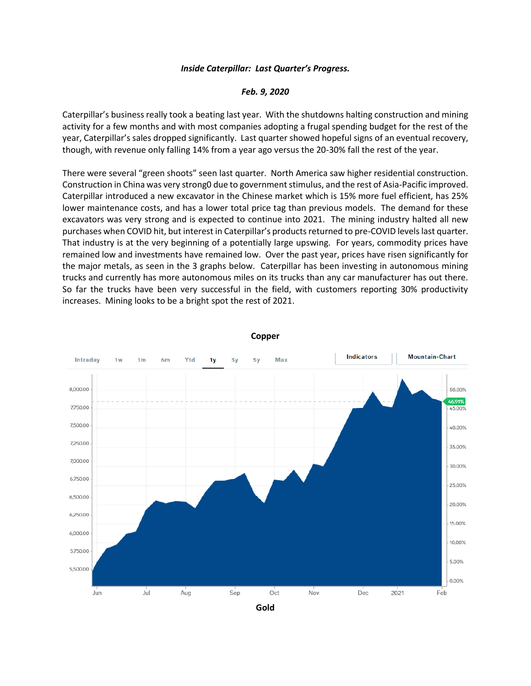## *Inside Caterpillar: Last Quarter's Progress.*

## *Feb. 9, 2020*

Caterpillar's business really took a beating last year. With the shutdowns halting construction and mining activity for a few months and with most companies adopting a frugal spending budget for the rest of the year, Caterpillar's sales dropped significantly. Last quarter showed hopeful signs of an eventual recovery, though, with revenue only falling 14% from a year ago versus the 20-30% fall the rest of the year.

There were several "green shoots" seen last quarter. North America saw higher residential construction. Construction in China was very strong0 due to government stimulus, and the rest of Asia-Pacific improved. Caterpillar introduced a new excavator in the Chinese market which is 15% more fuel efficient, has 25% lower maintenance costs, and has a lower total price tag than previous models. The demand for these excavators was very strong and is expected to continue into 2021. The mining industry halted all new purchases when COVID hit, but interest in Caterpillar's products returned to pre-COVID levels last quarter. That industry is at the very beginning of a potentially large upswing. For years, commodity prices have remained low and investments have remained low. Over the past year, prices have risen significantly for the major metals, as seen in the 3 graphs below. Caterpillar has been investing in autonomous mining trucks and currently has more autonomous miles on its trucks than any car manufacturer has out there. So far the trucks have been very successful in the field, with customers reporting 30% productivity increases. Mining looks to be a bright spot the rest of 2021.



**Copper**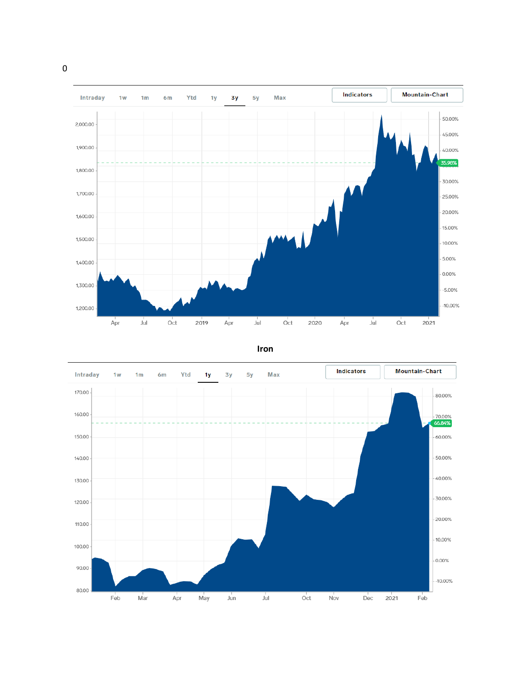